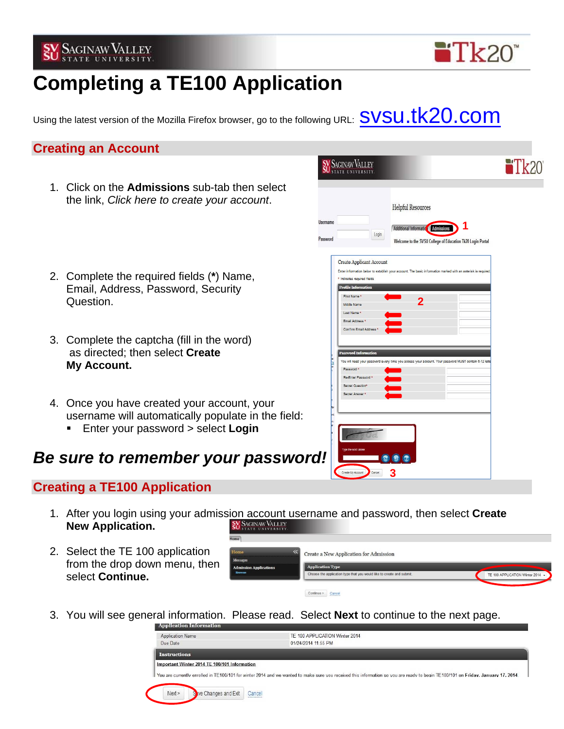



# **Completing a TE100 Application**

Using the latest version of the Mozilla Firefox browser, go to the following URL:  $\textsf{SVSU}.\textsf{t}$ 

### **Creating an Account**

1. Click on the **Admissions** sub-tab then select the link, *Click here to create your account*.



- 2. Complete the required fields (**\***) Name, Email, Address, Password, Security Question. **2**
- 3. Complete the captcha (fill in the word) as directed; then select **Create My Account.**
- 4. Once you have created your account, your username will automatically populate in the field:
	- Enter your password > select **Login**

# *Be sure to remember your password!*

## **Creating a TE100 Application**

- 1. After you login using your admission account username and password, then select **Create New Application. SV SAGINAW VALLEY**
- 2. Select the TE 100 application from the drop down menu, then select **Continue.**

| Home                                           |                                                                       |                                  |
|------------------------------------------------|-----------------------------------------------------------------------|----------------------------------|
| Home<br><<<br><b>Messages</b>                  | Create a New Application for Admission                                |                                  |
| <b>Admission Applications</b><br><b>Browse</b> | <b>Application Type</b>                                               |                                  |
|                                                | Choose the application type that you would like to create and submit. | TE 100 APPLICATION Winter 2014 - |
|                                                | Continue ><br>Cancel<br>------------                                  |                                  |

3. You will see general information. Please read. Select **Next** to continue to the next page.

| Application Information                                                                                                                                                           |                                                    |                     |  |  |
|-----------------------------------------------------------------------------------------------------------------------------------------------------------------------------------|----------------------------------------------------|---------------------|--|--|
|                                                                                                                                                                                   | Application Name<br>TE 100 APPLICATION Winter 2014 |                     |  |  |
| Due Date                                                                                                                                                                          |                                                    | 01/24/2014 11:55 PM |  |  |
| <b>Instructions</b>                                                                                                                                                               |                                                    |                     |  |  |
| Important Winter 2014 TE 100/101 Information                                                                                                                                      |                                                    |                     |  |  |
| You are currently enrolled in TE100/101 for winter 2014 and we wanted to make sure you received this information so you are ready to begin TE100/101 on Friday, January 17, 2014. |                                                    |                     |  |  |
| Next                                                                                                                                                                              | Sive Changes and Exit                              | Cancel              |  |  |